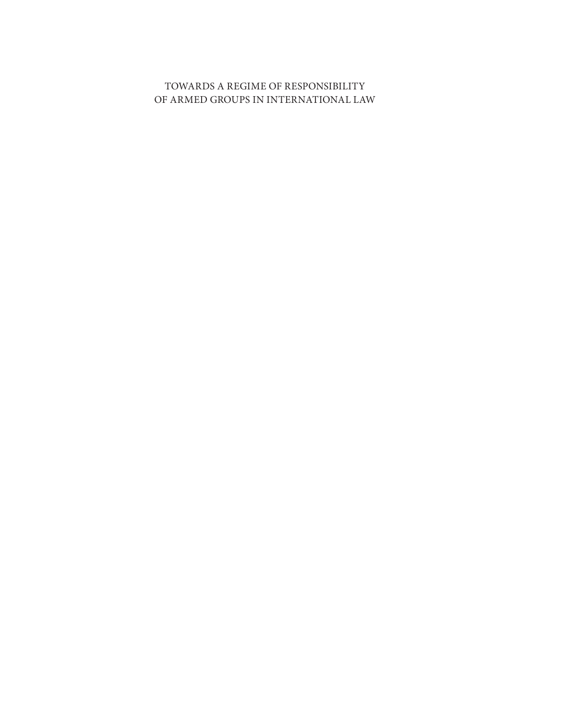#### TOWARDS A REGIME OF RESPONSIBILITY OF ARMED GROUPS IN INTERNATIONAL LAW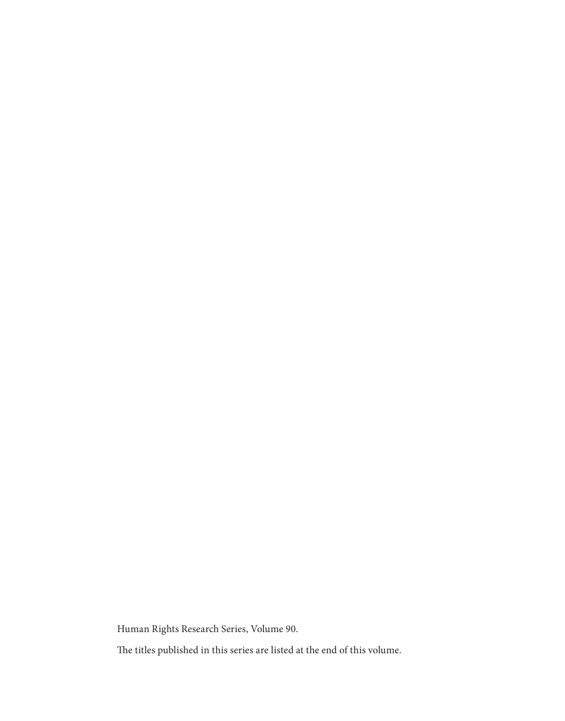Human Rights Research Series, Volume 90.

The titles published in this series are listed at the end of this volume.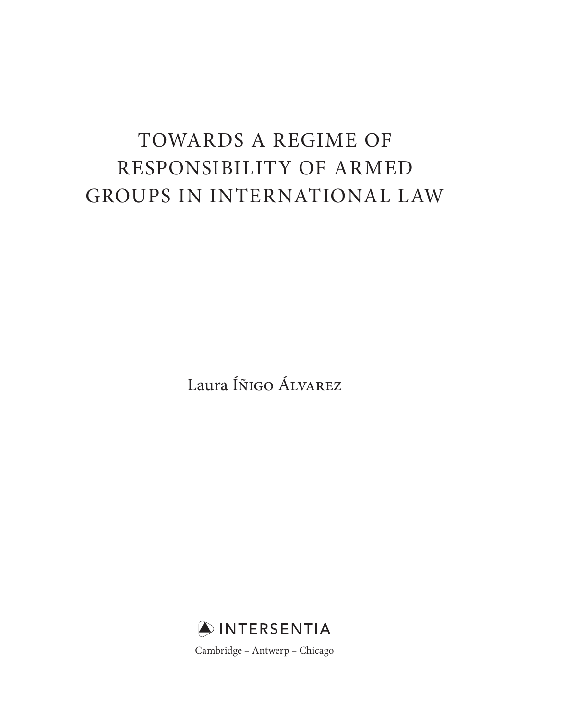# TOWARDS A REGIME OF RESPONSIBILITY OF ARMED GROUPS IN INTERNATIONAL LAW

Laura Íñigo Álvarez

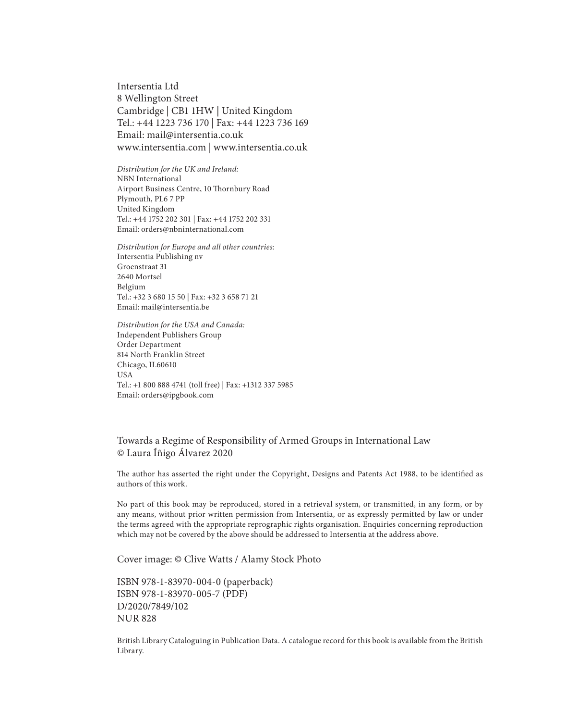Intersentia Ltd 8 Wellington Street Cambridge | CB1 1HW | United Kingdom Tel.: +44 1223 736 170 | Fax: +44 1223 736 169 Email: mail@intersentia.co.uk www.intersentia.com | www.intersentia.co.uk

*Distribution for the UK and Ireland:* NBN International Airport Business Centre, 10 Thornbury Road Plymouth, PL6 7 PP United Kingdom Tel.: +44 1752 202 301 | Fax: +44 1752 202 331 Email: orders@nbninternational.com

*Distribution for Europe and all other countries:* Intersentia Publishing nv Groenstraat 31 2640 Mortsel Belgium Tel.: +32 3 680 15 50 | Fax: +32 3 658 71 21 Email: mail@intersentia.be

*Distribution for the USA and Canada:* Independent Publishers Group Order Department 814 North Franklin Street Chicago, IL60610 USA Tel.: +1 800 888 4741 (toll free) | Fax: +1312 337 5985 Email: orders@ipgbook.com

#### Towards a Regime of Responsibility of Armed Groups in International Law © Laura Íñigo Álvarez 2020

The author has asserted the right under the Copyright, Designs and Patents Act 1988, to be identified as authors of this work.

No part of this book may be reproduced, stored in a retrieval system, or transmitted, in any form, or by any means, without prior written permission from Intersentia, or as expressly permitted by law or under the terms agreed with the appropriate reprographic rights organisation. Enquiries concerning reproduction which may not be covered by the above should be addressed to Intersentia at the address above.

Cover image: © Clive Watts / Alamy Stock Photo

ISBN 978-1-83970-004-0 (paperback) ISBN 978-1-83970-005-7 (PDF) D/2020/7849/102 NUR 828

British Library Cataloguing in Publication Data. A catalogue record for this book is available from the British Library.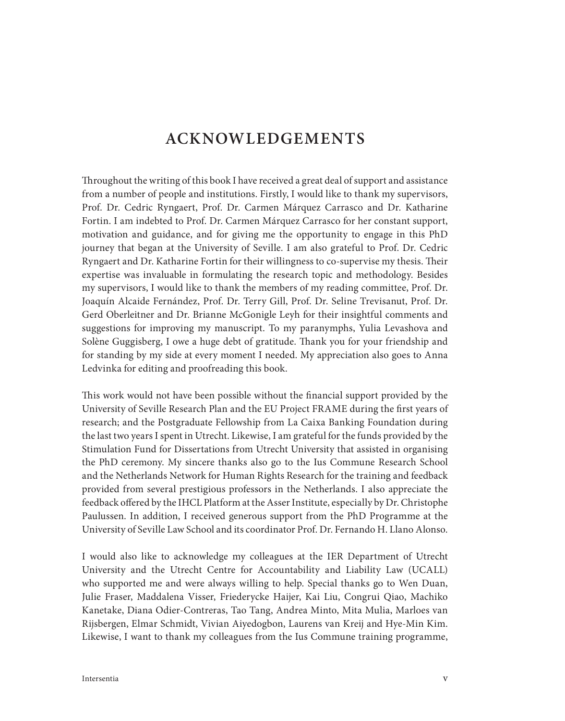### **ACKNOWLEDGEMENTS**

Throughout the writing of this book I have received a great deal of support and assistance from a number of people and institutions. Firstly, I would like to thank my supervisors, Prof. Dr. Cedric Ryngaert, Prof. Dr. Carmen Márquez Carrasco and Dr. Katharine Fortin. I am indebted to Prof. Dr. Carmen Márquez Carrasco for her constant support, motivation and guidance, and for giving me the opportunity to engage in this PhD journey that began at the University of Seville. I am also grateful to Prof. Dr. Cedric Ryngaert and Dr. Katharine Fortin for their willingness to co-supervise my thesis. Their expertise was invaluable in formulating the research topic and methodology. Besides my supervisors, I would like to thank the members of my reading committee, Prof. Dr. Joaquín Alcaide Fernández, Prof. Dr. Terry Gill, Prof. Dr. Seline Trevisanut, Prof. Dr. Gerd Oberleitner and Dr. Brianne McGonigle Leyh for their insightful comments and suggestions for improving my manuscript. To my paranymphs, Yulia Levashova and Solène Guggisberg, I owe a huge debt of gratitude. Thank you for your friendship and for standing by my side at every moment I needed. My appreciation also goes to Anna Ledvinka for editing and proofreading this book.

This work would not have been possible without the financial support provided by the University of Seville Research Plan and the EU Project FRAME during the first years of research; and the Postgraduate Fellowship from La Caixa Banking Foundation during the last two years I spent in Utrecht. Likewise, I am grateful for the funds provided by the Stimulation Fund for Dissertations from Utrecht University that assisted in organising the PhD ceremony. My sincere thanks also go to the Ius Commune Research School and the Netherlands Network for Human Rights Research for the training and feedback provided from several prestigious professors in the Netherlands. I also appreciate the feedback offered by the IHCL Platform at the Asser Institute, especially by Dr. Christophe Paulussen. In addition, I received generous support from the PhD Programme at the University of Seville Law School and its coordinator Prof. Dr. Fernando H. Llano Alonso.

I would also like to acknowledge my colleagues at the IER Department of Utrecht University and the Utrecht Centre for Accountability and Liability Law (UCALL) who supported me and were always willing to help. Special thanks go to Wen Duan, Julie Fraser, Maddalena Visser, Friederycke Haijer, Kai Liu, Congrui Qiao, Machiko Kanetake, Diana Odier-Contreras, Tao Tang, Andrea Minto, Mita Mulia, Marloes van Rijsbergen, Elmar Schmidt, Vivian Aiyedogbon, Laurens van Kreij and Hye-Min Kim. Likewise, I want to thank my colleagues from the Ius Commune training programme,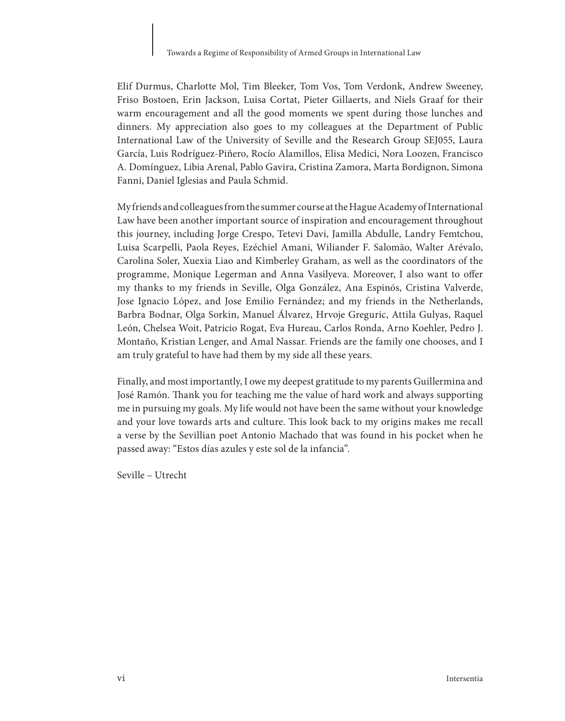Elif Durmus, Charlotte Mol, Tim Bleeker, Tom Vos, Tom Verdonk, Andrew Sweeney, Friso Bostoen, Erin Jackson, Luisa Cortat, Pieter Gillaerts, and Niels Graaf for their warm encouragement and all the good moments we spent during those lunches and dinners. My appreciation also goes to my colleagues at the Department of Public International Law of the University of Seville and the Research Group SEJ055, Laura García, Luis Rodríguez-Piñero, Rocío Alamillos, Elisa Medici, Nora Loozen, Francisco A. Domínguez, Libia Arenal, Pablo Gavira, Cristina Zamora, Marta Bordignon, Simona Fanni, Daniel Iglesias and Paula Schmid.

My friends and colleagues from the summer course at the Hague Academy of International Law have been another important source of inspiration and encouragement throughout this journey, including Jorge Crespo, Tetevi Davi, Jamilla Abdulle, Landry Femtchou, Luisa Scarpelli, Paola Reyes, Ezéchiel Amani, Wiliander F. Salomão, Walter Arévalo, Carolina Soler, Xuexia Liao and Kimberley Graham, as well as the coordinators of the programme, Monique Legerman and Anna Vasilyeva. Moreover, I also want to offer my thanks to my friends in Seville, Olga González, Ana Espinós, Cristina Valverde, Jose Ignacio López, and Jose Emilio Fernández; and my friends in the Netherlands, Barbra Bodnar, Olga Sorkin, Manuel Álvarez, Hrvoje Greguric, Attila Gulyas, Raquel León, Chelsea Woit, Patricio Rogat, Eva Hureau, Carlos Ronda, Arno Koehler, Pedro J. Montaño, Kristian Lenger, and Amal Nassar. Friends are the family one chooses, and I am truly grateful to have had them by my side all these years.

Finally, and most importantly, I owe my deepest gratitude to my parents Guillermina and José Ramón. Thank you for teaching me the value of hard work and always supporting me in pursuing my goals. My life would not have been the same without your knowledge and your love towards arts and culture. This look back to my origins makes me recall a verse by the Sevillian poet Antonio Machado that was found in his pocket when he passed away: "Estos días azules y este sol de la infancia".

Seville – Utrecht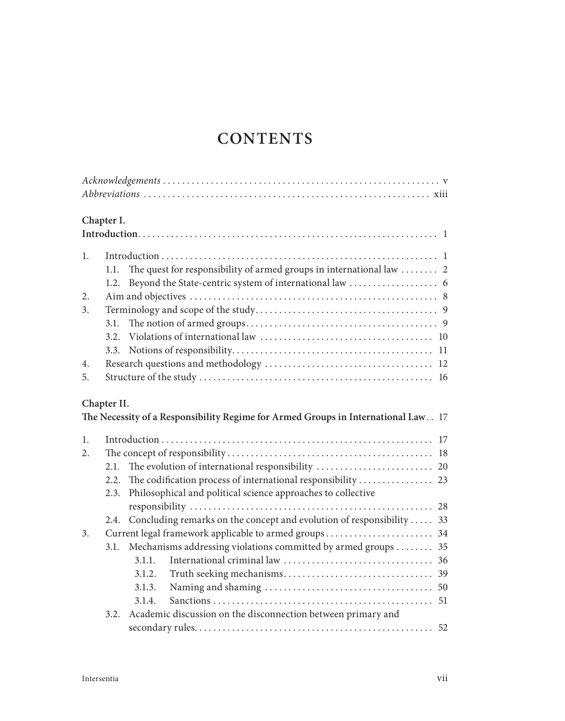# **CONTENTS**

|    | Chapter I.                                                                        |
|----|-----------------------------------------------------------------------------------|
|    |                                                                                   |
| 1. |                                                                                   |
|    | The quest for responsibility of armed groups in international law  2<br>1.1.      |
|    | 1.2.                                                                              |
| 2. |                                                                                   |
| 3. |                                                                                   |
|    | 3.1.                                                                              |
|    |                                                                                   |
|    | 3.3.                                                                              |
| 4. |                                                                                   |
| 5. |                                                                                   |
|    | Chapter II.                                                                       |
|    | The Necessity of a Responsibility Regime for Armed Groups in International Law 17 |
| 1. |                                                                                   |
| 2. |                                                                                   |
|    | 2.1.                                                                              |
|    | 2.2.                                                                              |
|    | Philosophical and political science approaches to collective<br>2.3.              |
|    |                                                                                   |
|    | 2.4. Concluding remarks on the concept and evolution of responsibility  33        |
| 3. | Current legal framework applicable to armed groups 34                             |
|    | Mechanisms addressing violations committed by armed groups  35<br>3.1.            |
|    | 3.1.1.                                                                            |
|    | 3.1.2.                                                                            |
|    | 3.1.3.                                                                            |
|    | 3.1.4.                                                                            |
|    | Academic discussion on the disconnection between primary and<br>3.2.              |
|    |                                                                                   |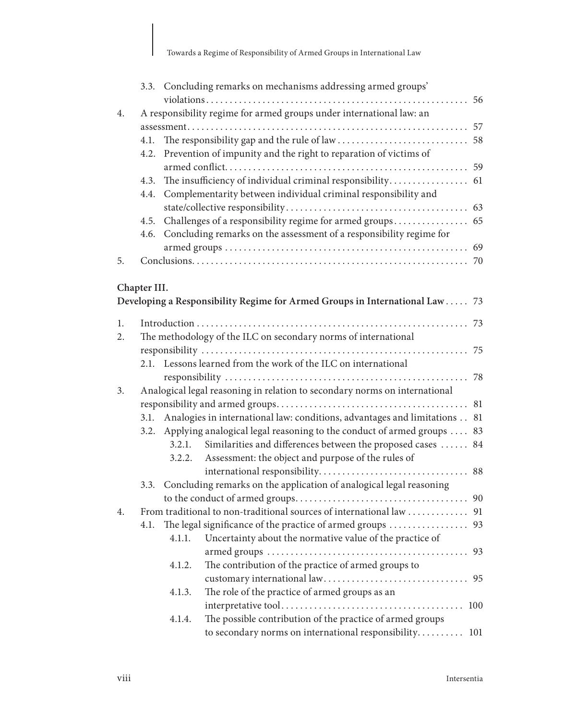Towards a Regime of Responsibility of Armed Groups in International Law

|    |              |                                                                      | 3.3. Concluding remarks on mechanisms addressing armed groups'               |    |  |
|----|--------------|----------------------------------------------------------------------|------------------------------------------------------------------------------|----|--|
|    |              |                                                                      |                                                                              |    |  |
| 4. |              | A responsibility regime for armed groups under international law: an |                                                                              |    |  |
|    |              |                                                                      |                                                                              |    |  |
|    | 4.1.         |                                                                      |                                                                              |    |  |
|    | 4.2.         |                                                                      | Prevention of impunity and the right to reparation of victims of             |    |  |
|    |              |                                                                      |                                                                              |    |  |
|    | 4.3.         |                                                                      |                                                                              |    |  |
|    | 4.4.         |                                                                      | Complementarity between individual criminal responsibility and               |    |  |
|    |              |                                                                      |                                                                              |    |  |
|    | 4.5.         |                                                                      |                                                                              |    |  |
|    | 4.6.         |                                                                      | Concluding remarks on the assessment of a responsibility regime for          |    |  |
|    |              |                                                                      |                                                                              |    |  |
| 5. |              |                                                                      |                                                                              |    |  |
|    |              |                                                                      |                                                                              |    |  |
|    | Chapter III. |                                                                      |                                                                              |    |  |
|    |              |                                                                      | Developing a Responsibility Regime for Armed Groups in International Law  73 |    |  |
| 1. |              |                                                                      |                                                                              |    |  |
| 2. |              |                                                                      | The methodology of the ILC on secondary norms of international               |    |  |
|    |              |                                                                      |                                                                              |    |  |
|    |              |                                                                      | 2.1. Lessons learned from the work of the ILC on international               |    |  |
|    |              |                                                                      |                                                                              |    |  |
| 3. |              |                                                                      | Analogical legal reasoning in relation to secondary norms on international   |    |  |
|    |              |                                                                      |                                                                              |    |  |
|    | 3.1.         |                                                                      | Analogies in international law: conditions, advantages and limitations 81    |    |  |
|    |              |                                                                      | 3.2. Applying analogical legal reasoning to the conduct of armed groups  83  |    |  |
|    |              | 3.2.1.                                                               | Similarities and differences between the proposed cases  84                  |    |  |
|    |              | 3.2.2.                                                               | Assessment: the object and purpose of the rules of                           |    |  |
|    |              |                                                                      |                                                                              |    |  |
|    | 3.3.         |                                                                      | Concluding remarks on the application of analogical legal reasoning          |    |  |
|    |              |                                                                      |                                                                              |    |  |
| 4. |              |                                                                      |                                                                              |    |  |
|    | 4.1.         |                                                                      |                                                                              |    |  |
|    |              |                                                                      | 4.1.1. Uncertainty about the normative value of the practice of              |    |  |
|    |              |                                                                      |                                                                              |    |  |
|    |              | 4.1.2.                                                               | The contribution of the practice of armed groups to                          |    |  |
|    |              |                                                                      |                                                                              | 95 |  |
|    |              | 4.1.3.                                                               | The role of the practice of armed groups as an                               |    |  |
|    |              |                                                                      |                                                                              |    |  |
|    |              | 4.1.4.                                                               | The possible contribution of the practice of armed groups                    |    |  |
|    |              |                                                                      | to secondary norms on international responsibility 101                       |    |  |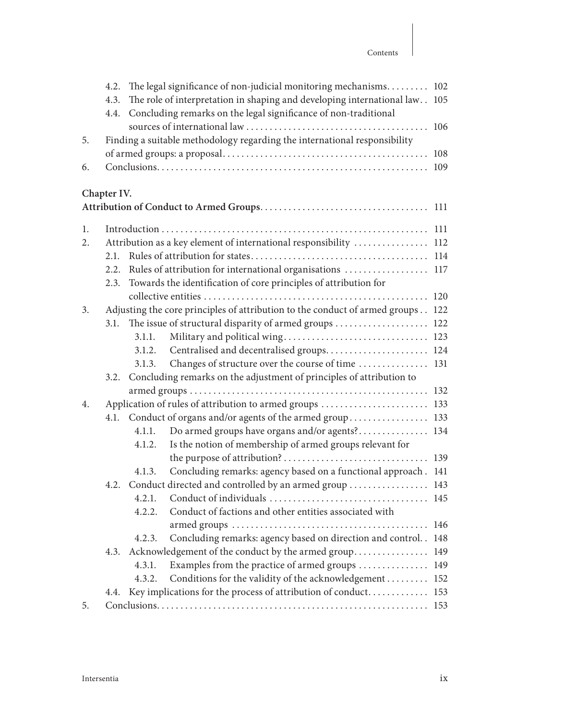#### Contents

|    | 4.2.<br>4.3.<br>4.4.                                |        | The legal significance of non-judicial monitoring mechanisms<br>The role of interpretation in shaping and developing international law<br>Concluding remarks on the legal significance of non-traditional | 102<br>105 |
|----|-----------------------------------------------------|--------|-----------------------------------------------------------------------------------------------------------------------------------------------------------------------------------------------------------|------------|
| 5. |                                                     |        | Finding a suitable methodology regarding the international responsibility                                                                                                                                 | 106        |
|    |                                                     |        |                                                                                                                                                                                                           | 108        |
| 6. |                                                     |        |                                                                                                                                                                                                           | 109        |
|    | Chapter IV.                                         |        |                                                                                                                                                                                                           |            |
|    |                                                     |        |                                                                                                                                                                                                           | 111        |
| 1. |                                                     |        |                                                                                                                                                                                                           | 111        |
| 2. |                                                     |        | Attribution as a key element of international responsibility                                                                                                                                              | 112        |
|    | 2.1.                                                |        |                                                                                                                                                                                                           | 114        |
|    | 2.2.                                                |        | Rules of attribution for international organisations                                                                                                                                                      | 117        |
|    | 2.3.                                                |        | Towards the identification of core principles of attribution for                                                                                                                                          |            |
|    |                                                     |        |                                                                                                                                                                                                           |            |
| 3. |                                                     |        | Adjusting the core principles of attribution to the conduct of armed groups                                                                                                                               | 122        |
|    | 3.1.                                                |        | The issue of structural disparity of armed groups                                                                                                                                                         | 122        |
|    |                                                     | 3.1.1. |                                                                                                                                                                                                           | 123        |
|    |                                                     | 3.1.2. | Centralised and decentralised groups                                                                                                                                                                      | 124        |
|    |                                                     | 3.1.3. | Changes of structure over the course of time                                                                                                                                                              | 131        |
|    | 3.2.                                                |        | Concluding remarks on the adjustment of principles of attribution to                                                                                                                                      |            |
|    |                                                     |        |                                                                                                                                                                                                           | 132        |
| 4. | Application of rules of attribution to armed groups |        |                                                                                                                                                                                                           | 133        |
|    | 4.1.                                                |        | Conduct of organs and/or agents of the armed group                                                                                                                                                        | 133        |
|    |                                                     | 4.1.1. | Do armed groups have organs and/or agents?                                                                                                                                                                | 134        |
|    |                                                     | 4.1.2. | Is the notion of membership of armed groups relevant for                                                                                                                                                  |            |
|    |                                                     |        |                                                                                                                                                                                                           | 139        |
|    |                                                     | 4.1.3. | Concluding remarks: agency based on a functional approach.                                                                                                                                                | 141        |
|    | 4.2.                                                |        | Conduct directed and controlled by an armed group                                                                                                                                                         | 143        |
|    |                                                     | 4.2.1. |                                                                                                                                                                                                           | 145        |
|    |                                                     | 4.2.2. | Conduct of factions and other entities associated with                                                                                                                                                    |            |
|    |                                                     |        |                                                                                                                                                                                                           | 146<br>148 |
|    |                                                     | 4.2.3. | Concluding remarks: agency based on direction and control. .                                                                                                                                              |            |
|    | 4.3.                                                |        | Acknowledgement of the conduct by the armed group                                                                                                                                                         | 149        |
|    |                                                     | 4.3.1. | Examples from the practice of armed groups                                                                                                                                                                | 149        |
|    |                                                     | 4.3.2. | Conditions for the validity of the acknowledgement                                                                                                                                                        | 152        |
|    | 4.4.                                                |        | Key implications for the process of attribution of conduct 153                                                                                                                                            |            |
| 5. |                                                     |        |                                                                                                                                                                                                           |            |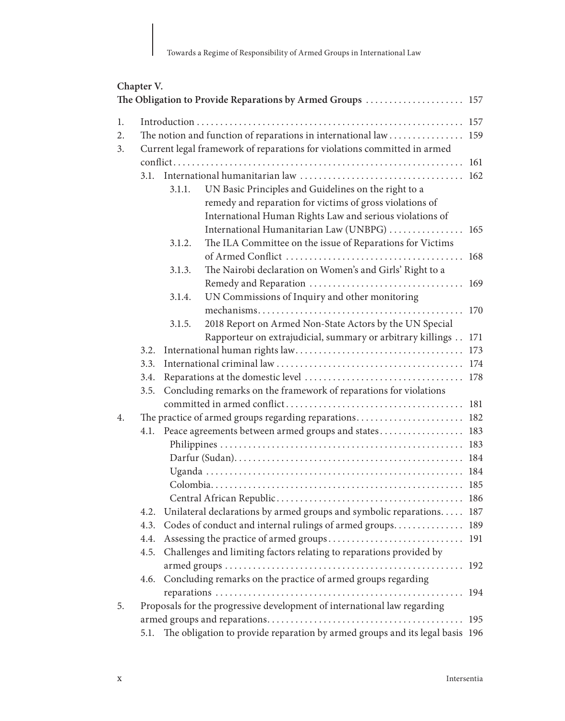### **Chapter V.**

|                |      |        | The Obligation to Provide Reparations by Armed Groups  157                                                                                                                                                                  |     |
|----------------|------|--------|-----------------------------------------------------------------------------------------------------------------------------------------------------------------------------------------------------------------------------|-----|
| 1.<br>2.<br>3. |      |        | The notion and function of reparations in international law  159<br>Current legal framework of reparations for violations committed in armed                                                                                |     |
|                |      |        |                                                                                                                                                                                                                             | 161 |
|                | 3.1. | 3.1.1. | UN Basic Principles and Guidelines on the right to a<br>remedy and reparation for victims of gross violations of<br>International Human Rights Law and serious violations of<br>International Humanitarian Law (UNBPG)  165 | 162 |
|                |      | 3.1.2. | The ILA Committee on the issue of Reparations for Victims                                                                                                                                                                   |     |
|                |      | 3.1.3. | The Nairobi declaration on Women's and Girls' Right to a                                                                                                                                                                    | 169 |
|                |      | 3.1.4. | UN Commissions of Inquiry and other monitoring                                                                                                                                                                              |     |
|                |      |        |                                                                                                                                                                                                                             | 170 |
|                |      | 3.1.5. | 2018 Report on Armed Non-State Actors by the UN Special                                                                                                                                                                     |     |
|                |      |        | Rapporteur on extrajudicial, summary or arbitrary killings                                                                                                                                                                  | 171 |
|                | 3.2. |        |                                                                                                                                                                                                                             | 173 |
|                | 3.3. |        |                                                                                                                                                                                                                             |     |
|                | 3.4. |        |                                                                                                                                                                                                                             |     |
|                | 3.5. |        | Concluding remarks on the framework of reparations for violations                                                                                                                                                           |     |
|                |      |        |                                                                                                                                                                                                                             |     |
| 4.             |      |        | The practice of armed groups regarding reparations 182                                                                                                                                                                      |     |
|                | 4.1. |        | Peace agreements between armed groups and states 183                                                                                                                                                                        |     |
|                |      |        |                                                                                                                                                                                                                             |     |
|                |      |        |                                                                                                                                                                                                                             |     |
|                |      |        |                                                                                                                                                                                                                             |     |
|                |      |        |                                                                                                                                                                                                                             |     |
|                |      |        |                                                                                                                                                                                                                             |     |
|                | 4.2. |        | Unilateral declarations by armed groups and symbolic reparations 187                                                                                                                                                        |     |
|                | 4.3. |        | Codes of conduct and internal rulings of armed groups 189                                                                                                                                                                   |     |
|                | 4.4. |        |                                                                                                                                                                                                                             |     |
|                | 4.5. |        | Challenges and limiting factors relating to reparations provided by                                                                                                                                                         |     |
|                |      |        |                                                                                                                                                                                                                             |     |
|                | 4.6. |        | Concluding remarks on the practice of armed groups regarding                                                                                                                                                                |     |
|                |      |        | .                                                                                                                                                                                                                           | 194 |
| 5.             |      |        | Proposals for the progressive development of international law regarding                                                                                                                                                    |     |
|                |      |        |                                                                                                                                                                                                                             | 195 |
|                | 5.1. |        | The obligation to provide reparation by armed groups and its legal basis 196                                                                                                                                                |     |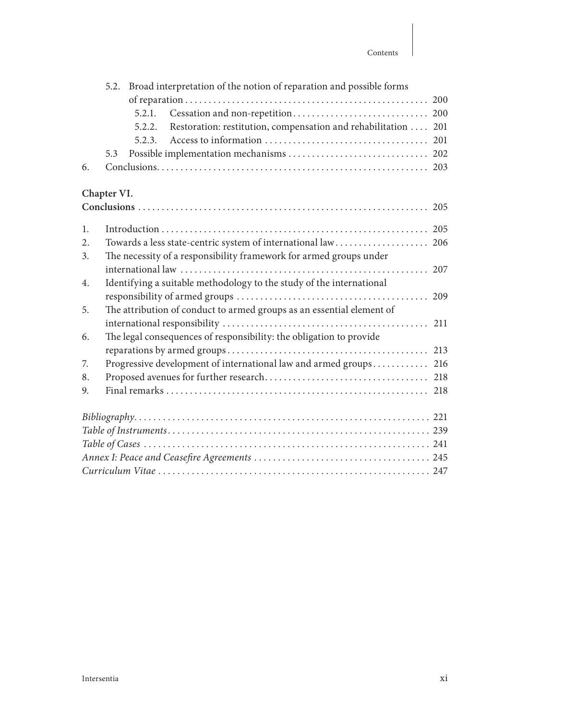|    |             | 5.2. Broad interpretation of the notion of reparation and possible forms |  |
|----|-------------|--------------------------------------------------------------------------|--|
|    |             |                                                                          |  |
|    |             | 5.2.1.                                                                   |  |
|    |             | Restoration: restitution, compensation and rehabilitation  201<br>5.2.2. |  |
|    |             | 5.2.3.                                                                   |  |
|    | 5.3         |                                                                          |  |
| 6. |             |                                                                          |  |
|    | Chapter VI. |                                                                          |  |
|    |             |                                                                          |  |
|    |             |                                                                          |  |
| 1. |             |                                                                          |  |
| 2. |             | Towards a less state-centric system of international law 206             |  |
| 3. |             | The necessity of a responsibility framework for armed groups under       |  |
|    |             |                                                                          |  |
| 4. |             | Identifying a suitable methodology to the study of the international     |  |
|    |             |                                                                          |  |
| 5. |             | The attribution of conduct to armed groups as an essential element of    |  |
|    |             |                                                                          |  |
| 6. |             | The legal consequences of responsibility: the obligation to provide      |  |
|    |             |                                                                          |  |
| 7. |             | Progressive development of international law and armed groups 216        |  |
| 8. |             |                                                                          |  |
| 9. |             |                                                                          |  |
|    |             |                                                                          |  |
|    |             |                                                                          |  |
|    |             |                                                                          |  |
|    |             |                                                                          |  |
|    |             |                                                                          |  |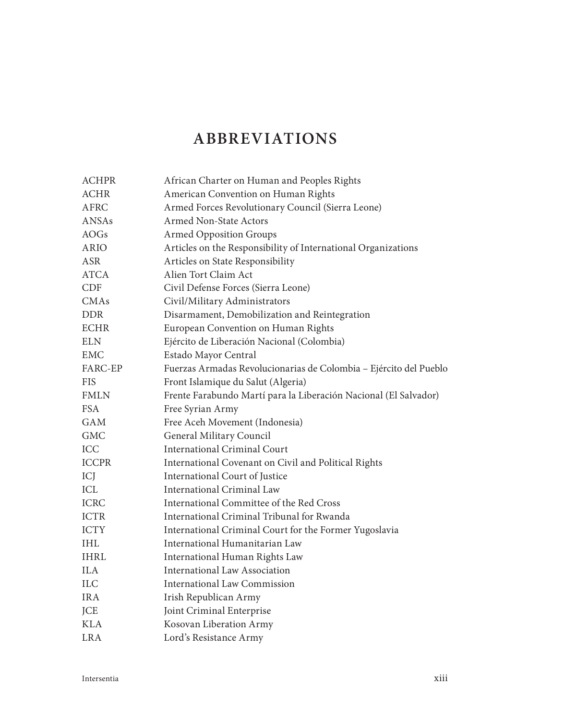# **ABBREVIATIONS**

| ACHPR        | African Charter on Human and Peoples Rights                       |
|--------------|-------------------------------------------------------------------|
| <b>ACHR</b>  | American Convention on Human Rights                               |
| <b>AFRC</b>  | Armed Forces Revolutionary Council (Sierra Leone)                 |
| <b>ANSAs</b> | Armed Non-State Actors                                            |
| AOGs         | <b>Armed Opposition Groups</b>                                    |
| ARIO         | Articles on the Responsibility of International Organizations     |
| <b>ASR</b>   | Articles on State Responsibility                                  |
| <b>ATCA</b>  | Alien Tort Claim Act                                              |
| <b>CDF</b>   | Civil Defense Forces (Sierra Leone)                               |
| <b>CMAs</b>  | Civil/Military Administrators                                     |
| <b>DDR</b>   | Disarmament, Demobilization and Reintegration                     |
| <b>ECHR</b>  | European Convention on Human Rights                               |
| <b>ELN</b>   | Ejército de Liberación Nacional (Colombia)                        |
| <b>EMC</b>   | Estado Mayor Central                                              |
| FARC-EP      | Fuerzas Armadas Revolucionarias de Colombia - Ejército del Pueblo |
| <b>FIS</b>   | Front Islamique du Salut (Algeria)                                |
| <b>FMLN</b>  | Frente Farabundo Martí para la Liberación Nacional (El Salvador)  |
| <b>FSA</b>   | Free Syrian Army                                                  |
| <b>GAM</b>   | Free Aceh Movement (Indonesia)                                    |
| <b>GMC</b>   | General Military Council                                          |
| ICC          | <b>International Criminal Court</b>                               |
| <b>ICCPR</b> | International Covenant on Civil and Political Rights              |
| ICJ          | International Court of Justice                                    |
| ICL          | International Criminal Law                                        |
| <b>ICRC</b>  | International Committee of the Red Cross                          |
| <b>ICTR</b>  | International Criminal Tribunal for Rwanda                        |
| <b>ICTY</b>  | International Criminal Court for the Former Yugoslavia            |
| <b>IHL</b>   | International Humanitarian Law                                    |
| IHRL         | International Human Rights Law                                    |
| <b>ILA</b>   | <b>International Law Association</b>                              |
| <b>ILC</b>   | <b>International Law Commission</b>                               |
| <b>IRA</b>   | Irish Republican Army                                             |
| JCE          | Joint Criminal Enterprise                                         |
| <b>KLA</b>   | Kosovan Liberation Army                                           |
| LR A         | Lord's Resistance Army                                            |